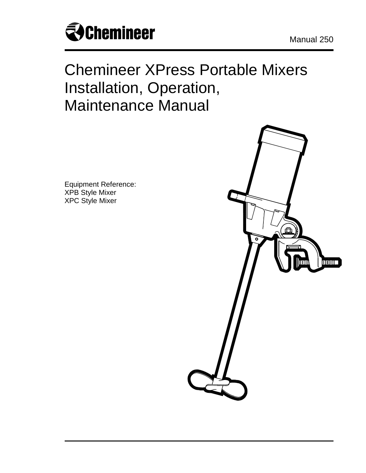

# Chemineer XPress Portable Mixers Installation, Operation, Maintenance Manual

Equipment Reference: XPB Style Mixer XPC Style Mixer

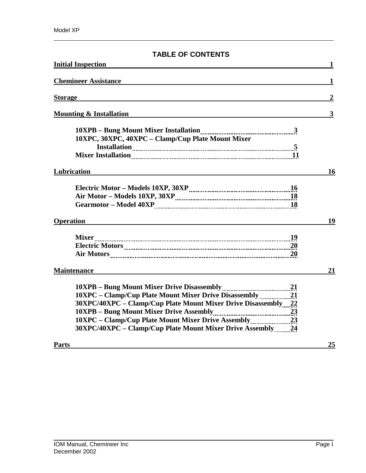# **TABLE OF CONTENTS**

| <b>Initial Inspection</b>                                                                                                                                                                   | 1                       |
|---------------------------------------------------------------------------------------------------------------------------------------------------------------------------------------------|-------------------------|
| <b>Chemineer Assistance</b>                                                                                                                                                                 | 1                       |
| <b>Storage</b>                                                                                                                                                                              | $\boldsymbol{2}$        |
| <b>Mounting &amp; Installation</b>                                                                                                                                                          | $\overline{\mathbf{3}}$ |
| 10XPC, 30XPC, 40XPC – Clamp/Cup Plate Mount Mixer                                                                                                                                           |                         |
| Lubrication<br><u> 1989 - Johann Stein, fransk politik (f. 1989)</u>                                                                                                                        | 16                      |
| <b>Operation</b><br><u> 1989 - Johann Harry Barn, mars an t-Amerikaansk kommunist (</u>                                                                                                     | 19                      |
| Electric Motors 20<br>Air Motors 20                                                                                                                                                         |                         |
| <b>Maintenance</b>                                                                                                                                                                          | 21                      |
| 10XPC - Clamp/Cup Plate Mount Mixer Drive Disassembly<br>21<br>30XPC/40XPC - Clamp/Cup Plate Mount Mixer Drive Disassembly22<br>30XPC/40XPC – Clamp/Cup Plate Mount Mixer Drive Assembly 24 |                         |
| <b>Parts</b>                                                                                                                                                                                | 25                      |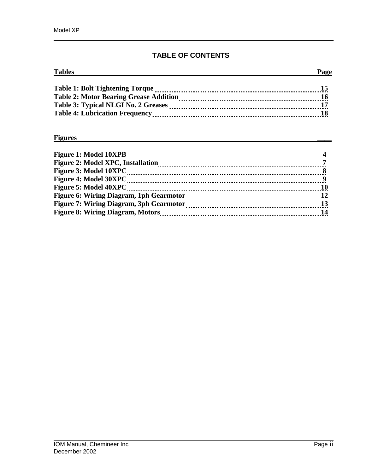# **TABLE OF CONTENTS**

| <b>Tables</b>                                 |  |
|-----------------------------------------------|--|
| <b>Table 1: Bolt Tightening Torque</b>        |  |
| <b>Table 2: Motor Bearing Grease Addition</b> |  |
| <b>Table 3: Typical NLGI No. 2 Greases</b>    |  |
| <b>Table 4: Lubrication Frequency</b>         |  |

#### **Figures \_\_\_\_**

| Figure 1: Model 10XPB                    |  |
|------------------------------------------|--|
| <b>Figure 2: Model XPC, Installation</b> |  |
| <b>Figure 3: Model 10XPC</b>             |  |
| <b>Figure 4: Model 30XPC</b>             |  |
|                                          |  |
|                                          |  |
|                                          |  |
| <b>Figure 8: Wiring Diagram, Motors</b>  |  |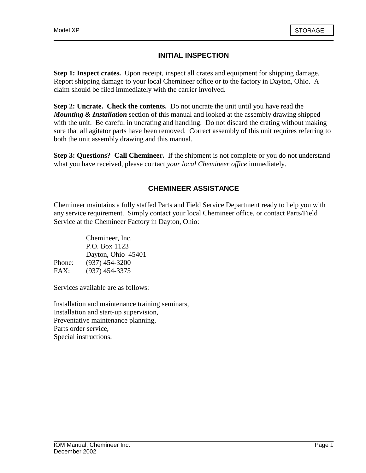# **INITIAL INSPECTION**

**Step 1: Inspect crates.** Upon receipt, inspect all crates and equipment for shipping damage. Report shipping damage to your local Chemineer office or to the factory in Dayton, Ohio. A claim should be filed immediately with the carrier involved.

**Step 2: Uncrate. Check the contents.** Do not uncrate the unit until you have read the *Mounting & Installation* section of this manual and looked at the assembly drawing shipped with the unit. Be careful in uncrating and handling. Do not discard the crating without making sure that all agitator parts have been removed. Correct assembly of this unit requires referring to both the unit assembly drawing and this manual.

**Step 3: Questions? Call Chemineer.** If the shipment is not complete or you do not understand what you have received, please contact *your local Chemineer office* immediately.

# **CHEMINEER ASSISTANCE**

Chemineer maintains a fully staffed Parts and Field Service Department ready to help you with any service requirement. Simply contact your local Chemineer office, or contact Parts/Field Service at the Chemineer Factory in Dayton, Ohio:

|        | Chemineer, Inc.    |
|--------|--------------------|
|        | P.O. Box 1123      |
|        | Dayton, Ohio 45401 |
| Phone: | $(937)$ 454-3200   |
| FAX:   | $(937)$ 454-3375   |

Services available are as follows:

Installation and maintenance training seminars, Installation and start-up supervision, Preventative maintenance planning, Parts order service, Special instructions.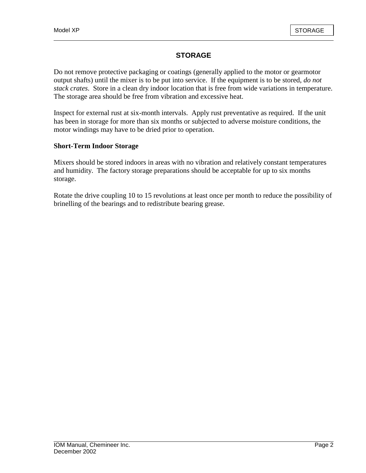# **STORAGE**

Do not remove protective packaging or coatings (generally applied to the motor or gearmotor output shafts) until the mixer is to be put into service. If the equipment is to be stored, *do not stack crates*. Store in a clean dry indoor location that is free from wide variations in temperature. The storage area should be free from vibration and excessive heat.

Inspect for external rust at six-month intervals. Apply rust preventative as required. If the unit has been in storage for more than six months or subjected to adverse moisture conditions, the motor windings may have to be dried prior to operation.

#### **Short-Term Indoor Storage**

Mixers should be stored indoors in areas with no vibration and relatively constant temperatures and humidity. The factory storage preparations should be acceptable for up to six months storage.

Rotate the drive coupling 10 to 15 revolutions at least once per month to reduce the possibility of brinelling of the bearings and to redistribute bearing grease.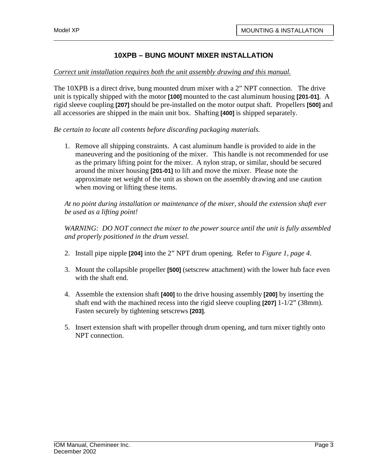# **10XPB – BUNG MOUNT MIXER INSTALLATION**

#### *Correct unit installation requires both the unit assembly drawing and this manual.*

The 10XPB is a direct drive, bung mounted drum mixer with a 2" NPT connection. The drive unit is typically shipped with the motor **[100]** mounted to the cast aluminum housing **[201-01]**. A rigid sleeve coupling **[207]** should be pre-installed on the motor output shaft. Propellers **[500]** and all accessories are shipped in the main unit box. Shafting **[400]** is shipped separately.

*Be certain to locate all contents before discarding packaging materials.* 

1. Remove all shipping constraints. A cast aluminum handle is provided to aide in the maneuvering and the positioning of the mixer. This handle is not recommended for use as the primary lifting point for the mixer. A nylon strap, or similar, should be secured around the mixer housing **[201-01]** to lift and move the mixer. Please note the approximate net weight of the unit as shown on the assembly drawing and use caution when moving or lifting these items.

*At no point during installation or maintenance of the mixer, should the extension shaft ever be used as a lifting point!* 

*WARNING: DO NOT connect the mixer to the power source until the unit is fully assembled and properly positioned in the drum vessel.* 

- 2. Install pipe nipple **[204]** into the 2" NPT drum opening. Refer to *Figure 1, page 4*.
- 3. Mount the collapsible propeller **[500]** (setscrew attachment) with the lower hub face even with the shaft end.
- 4. Assemble the extension shaft **[400]** to the drive housing assembly **[200]** by inserting the shaft end with the machined recess into the rigid sleeve coupling **[207]** 1-1/2" (38mm). Fasten securely by tightening setscrews **[203]**.
- 5. Insert extension shaft with propeller through drum opening, and turn mixer tightly onto NPT connection.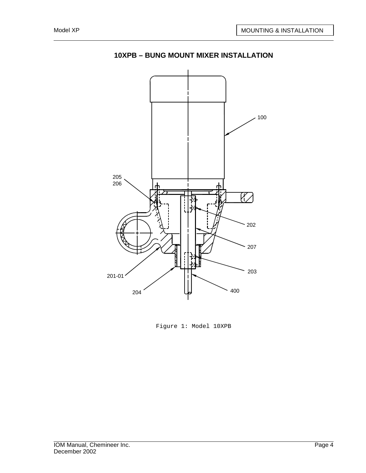

# **10XPB – BUNG MOUNT MIXER INSTALLATION**

Figure 1: Model 10XPB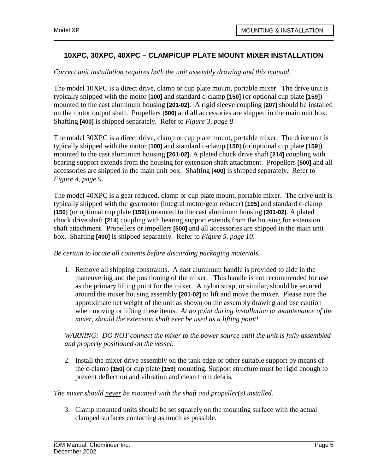### **10XPC, 30XPC, 40XPC – CLAMP/CUP PLATE MOUNT MIXER INSTALLATION**

#### *Correct unit installation requires both the unit assembly drawing and this manual.*

The model 10XPC is a direct drive, clamp or cup plate mount, portable mixer. The drive unit is typically shipped with the motor **[100]** and standard c-clamp **[150]** (or optional cup plate **[159]**) mounted to the cast aluminum housing **[201-02]**. A rigid sleeve coupling **[207]** should be installed on the motor output shaft. Propellers **[500]** and all accessories are shipped in the main unit box. Shafting **[400]** is shipped separately. Refer to *Figure 3, page 8*.

The model 30XPC is a direct drive, clamp or cup plate mount, portable mixer. The drive unit is typically shipped with the motor **[100]** and standard c-clamp **[150]** (or optional cup plate **[159]**) mounted to the cast aluminum housing **[201-02]**. A plated chuck drive shaft **[214]** coupling with bearing support extends from the housing for extension shaft attachment. Propellers **[500]** and all accessories are shipped in the main unit box. Shafting **[400]** is shipped separately. Refer to *Figure 4, page 9*.

The model 40XPC is a gear reduced, clamp or cup plate mount, portable mixer. The drive unit is typically shipped with the gearmotor (integral motor/gear reducer) **[105]** and standard c-clamp **[150]** (or optional cup plate **[159]**) mounted to the cast aluminum housing **[201-02]**. A plated chuck drive shaft **[214]** coupling with bearing support extends from the housing for extension shaft attachment. Propellers or impellers **[500]** and all accessories are shipped in the main unit box. Shafting **[400]** is shipped separately. Refer to *Figure 5, page 10*.

#### *Be certain to locate all contents before discarding packaging materials.*

1. Remove all shipping constraints. A cast aluminum handle is provided to aide in the maneuvering and the positioning of the mixer. This handle is not recommended for use as the primary lifting point for the mixer. A nylon strap, or similar, should be secured around the mixer housing assembly **[201-02]** to lift and move the mixer. Please note the approximate net weight of the unit as shown on the assembly drawing and use caution when moving or lifting these items. *At no point during installation or maintenance of the mixer, should the extension shaft ever be used as a lifting point!* 

*WARNING: DO NOT connect the mixer to the power source until the unit is fully assembled and properly positioned on the vessel.* 

2. Install the mixer drive assembly on the tank edge or other suitable support by means of the c-clamp **[150]** or cup plate **[159]** mounting. Support structure must be rigid enough to prevent deflection and vibration and clean from debris.

*The mixer should never be mounted with the shaft and propeller(s) installed.*

3. Clamp mounted units should be set squarely on the mounting surface with the actual clamped surfaces contacting as much as possible.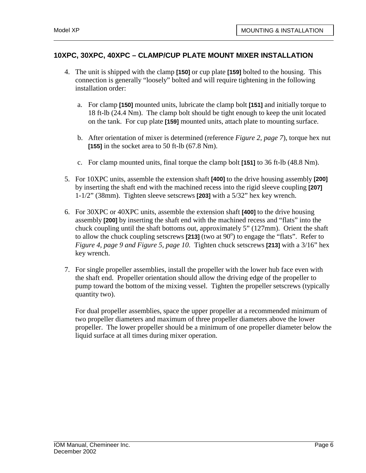#### **10XPC, 30XPC, 40XPC – CLAMP/CUP PLATE MOUNT MIXER INSTALLATION**

- 4. The unit is shipped with the clamp **[150]** or cup plate **[159]** bolted to the housing. This connection is generally "loosely" bolted and will require tightening in the following installation order:
	- a. For clamp **[150]** mounted units, lubricate the clamp bolt **[151]** and initially torque to 18 ft-lb (24.4 Nm). The clamp bolt should be tight enough to keep the unit located on the tank. For cup plate **[159]** mounted units, attach plate to mounting surface.
	- b. After orientation of mixer is determined (reference *Figure 2, page 7*), torque hex nut **[155]** in the socket area to 50 ft-lb (67.8 Nm).
	- c. For clamp mounted units, final torque the clamp bolt **[151]** to 36 ft-lb (48.8 Nm).
- 5. For 10XPC units, assemble the extension shaft **[400]** to the drive housing assembly **[200]** by inserting the shaft end with the machined recess into the rigid sleeve coupling **[207]**  1-1/2" (38mm). Tighten sleeve setscrews **[203]** with a 5/32" hex key wrench.
- 6. For 30XPC or 40XPC units, assemble the extension shaft **[400]** to the drive housing assembly **[200]** by inserting the shaft end with the machined recess and "flats" into the chuck coupling until the shaft bottoms out, approximately 5" (127mm). Orient the shaft to allow the chuck coupling setscrews  $\overline{[213]}$  (two at  $90^\circ$ ) to engage the "flats". Refer to *Figure 4, page 9 and Figure 5, page 10*. Tighten chuck setscrews **[213]** with a 3/16" hex key wrench.
- 7. For single propeller assemblies, install the propeller with the lower hub face even with the shaft end. Propeller orientation should allow the driving edge of the propeller to pump toward the bottom of the mixing vessel. Tighten the propeller setscrews (typically quantity two).

For dual propeller assemblies, space the upper propeller at a recommended minimum of two propeller diameters and maximum of three propeller diameters above the lower propeller. The lower propeller should be a minimum of one propeller diameter below the liquid surface at all times during mixer operation.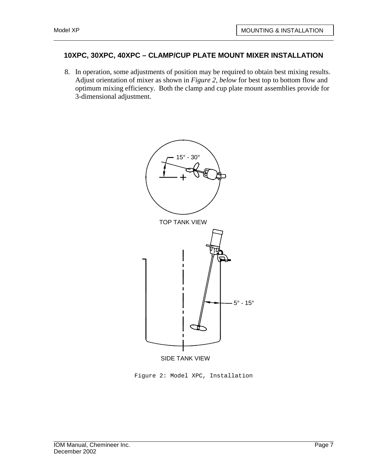# **10XPC, 30XPC, 40XPC – CLAMP/CUP PLATE MOUNT MIXER INSTALLATION**

8. In operation, some adjustments of position may be required to obtain best mixing results. Adjust orientation of mixer as shown in *Figure 2, below* for best top to bottom flow and optimum mixing efficiency. Both the clamp and cup plate mount assemblies provide for 3-dimensional adjustment.



Figure 2: Model XPC, Installation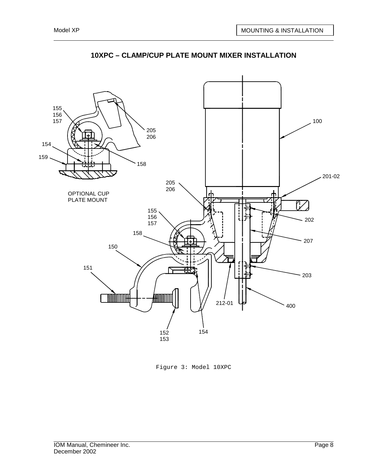

# **10XPC – CLAMP/CUP PLATE MOUNT MIXER INSTALLATION**

Figure 3: Model 10XPC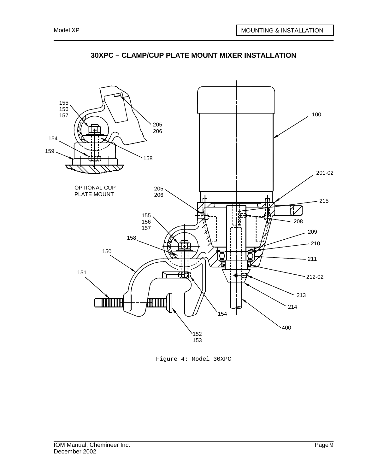

# **30XPC – CLAMP/CUP PLATE MOUNT MIXER INSTALLATION**

Figure 4: Model 30XPC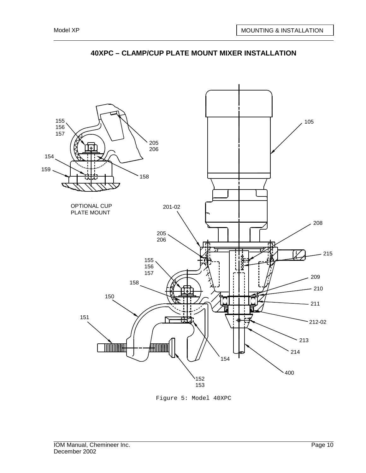

# **40XPC – CLAMP/CUP PLATE MOUNT MIXER INSTALLATION**

Figure 5: Model 40XPC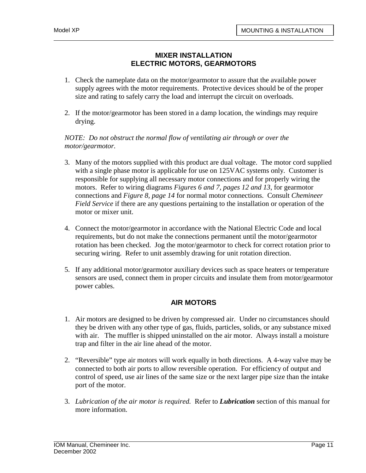# **MIXER INSTALLATION ELECTRIC MOTORS, GEARMOTORS**

- 1. Check the nameplate data on the motor/gearmotor to assure that the available power supply agrees with the motor requirements. Protective devices should be of the proper size and rating to safely carry the load and interrupt the circuit on overloads.
- 2. If the motor/gearmotor has been stored in a damp location, the windings may require drying.

*NOTE: Do not obstruct the normal flow of ventilating air through or over the motor/gearmotor.* 

- 3. Many of the motors supplied with this product are dual voltage. The motor cord supplied with a single phase motor is applicable for use on 125VAC systems only. Customer is responsible for supplying all necessary motor connections and for properly wiring the motors. Refer to wiring diagrams *Figures 6 and 7, pages 12 and 13*, for gearmotor connections and *Figure 8, page 14* for normal motor connections. Consult *Chemineer Field Service* if there are any questions pertaining to the installation or operation of the motor or mixer unit.
- 4. Connect the motor/gearmotor in accordance with the National Electric Code and local requirements, but do not make the connections permanent until the motor/gearmotor rotation has been checked. Jog the motor/gearmotor to check for correct rotation prior to securing wiring. Refer to unit assembly drawing for unit rotation direction.
- 5. If any additional motor/gearmotor auxiliary devices such as space heaters or temperature sensors are used, connect them in proper circuits and insulate them from motor/gearmotor power cables.

## **AIR MOTORS**

- 1. Air motors are designed to be driven by compressed air. Under no circumstances should they be driven with any other type of gas, fluids, particles, solids, or any substance mixed with air. The muffler is shipped uninstalled on the air motor. Always install a moisture trap and filter in the air line ahead of the motor.
- 2. "Reversible" type air motors will work equally in both directions. A 4-way valve may be connected to both air ports to allow reversible operation. For efficiency of output and control of speed, use air lines of the same size or the next larger pipe size than the intake port of the motor.
- 3. *Lubrication of the air motor is required.* Refer to *Lubrication* section of this manual for more information.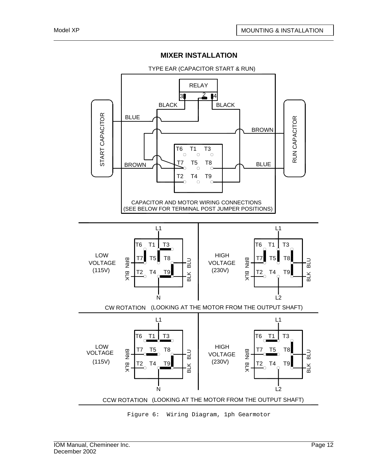

Figure 6: Wiring Diagram, 1ph Gearmotor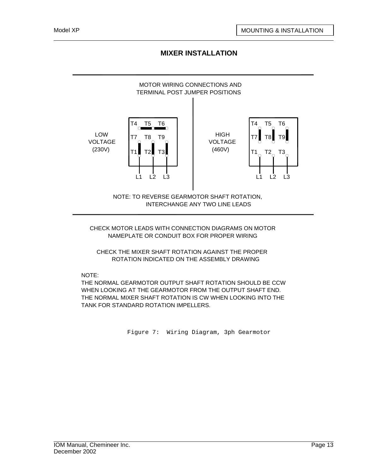

CHECK MOTOR LEADS WITH CONNECTION DIAGRAMS ON MOTOR NAMEPLATE OR CONDUIT BOX FOR PROPER WIRING

CHECK THE MIXER SHAFT ROTATION AGAINST THE PROPER ROTATION INDICATED ON THE ASSEMBLY DRAWING

NOTE:

THE NORMAL GEARMOTOR OUTPUT SHAFT ROTATION SHOULD BE CCW WHEN LOOKING AT THE GEARMOTOR FROM THE OUTPUT SHAFT END. THE NORMAL MIXER SHAFT ROTATION IS CW WHEN LOOKING INTO THE TANK FOR STANDARD ROTATION IMPELLERS.

Figure 7: Wiring Diagram, 3ph Gearmotor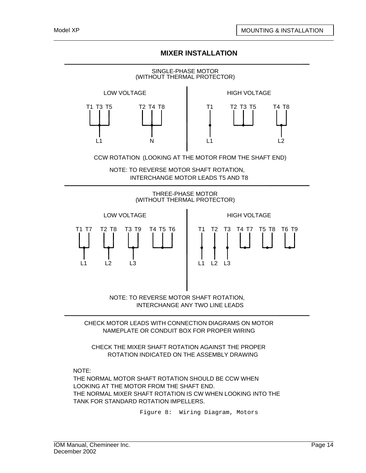

NAMEPLATE OR CONDUIT BOX FOR PROPER WIRING

CHECK THE MIXER SHAFT ROTATION AGAINST THE PROPER ROTATION INDICATED ON THE ASSEMBLY DRAWING

NOTE:

THE NORMAL MOTOR SHAFT ROTATION SHOULD BE CCW WHEN LOOKING AT THE MOTOR FROM THE SHAFT END. THE NORMAL MIXER SHAFT ROTATION IS CW WHEN LOOKING INTO THE TANK FOR STANDARD ROTATION IMPELLERS.

Figure 8: Wiring Diagram, Motors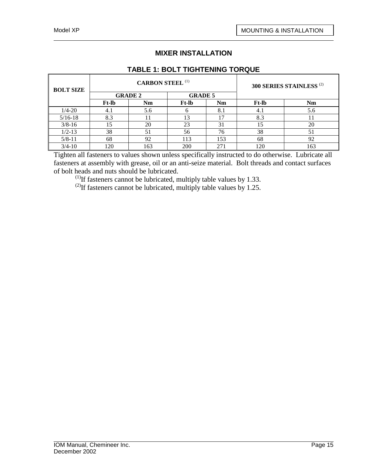#### **TABLE 1: BOLT TIGHTENING TORQUE**

| <b>BOLT SIZE</b> | <b>CARBON STEEL (1)</b> |     |                |     | 300 SERIES STAINLESS <sup>(2)</sup> |           |
|------------------|-------------------------|-----|----------------|-----|-------------------------------------|-----------|
|                  | <b>GRADE 2</b>          |     | <b>GRADE 5</b> |     |                                     |           |
|                  | <b>Ft-lb</b>            | Nm  | <b>Ft-lb</b>   | Nm  | <b>Ft-lb</b>                        | <b>Nm</b> |
| $1/4 - 20$       | 4.1                     | 5.6 |                | 8.1 | 4.1                                 | 5.6       |
| $5/16-18$        | 8.3                     |     | 13             | 17  | 8.3                                 |           |
| $3/8 - 16$       | 15                      | 20  | 23             | 31  | 15                                  | 20        |
| $1/2 - 13$       | 38                      | 51  | 56             | 76  | 38                                  | 51        |
| $5/8 - 11$       | 68                      | 92  | 113            | 153 | 68                                  | 92        |
| $3/4 - 10$       | 120                     | 163 | 200            | 271 | 120                                 | 163       |

Tighten all fasteners to values shown unless specifically instructed to do otherwise. Lubricate all fasteners at assembly with grease, oil or an anti-seize material. Bolt threads and contact surfaces of bolt heads and nuts should be lubricated.

 $<sup>(1)</sup>$ If fasteners cannot be lubricated, multiply table values by 1.33.</sup>

<sup>(2)</sup>If fasteners cannot be lubricated, multiply table values by 1.25.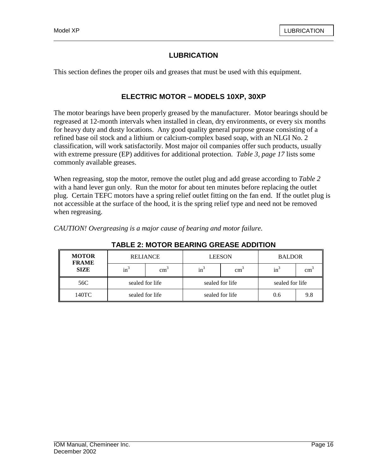# **LUBRICATION**

This section defines the proper oils and greases that must be used with this equipment.

### **ELECTRIC MOTOR – MODELS 10XP, 30XP**

The motor bearings have been properly greased by the manufacturer. Motor bearings should be regreased at 12-month intervals when installed in clean, dry environments, or every six months for heavy duty and dusty locations. Any good quality general purpose grease consisting of a refined base oil stock and a lithium or calcium-complex based soap, with an NLGI No. 2 classification, will work satisfactorily. Most major oil companies offer such products, usually with extreme pressure (EP) additives for additional protection. *Table 3, page 17* lists some commonly available greases.

When regreasing, stop the motor, remove the outlet plug and add grease according to *Table 2*  with a hand lever gun only. Run the motor for about ten minutes before replacing the outlet plug. Certain TEFC motors have a spring relief outlet fitting on the fan end. If the outlet plug is not accessible at the surface of the hood, it is the spring relief type and need not be removed when regreasing.

**TABLE 2: MOTOR BEARING GREASE ADDITION** 

|                              | TABLE 2: MOTOR BEARING GREASE ADDITION |                 |               |                 |               |                 |                 |
|------------------------------|----------------------------------------|-----------------|---------------|-----------------|---------------|-----------------|-----------------|
| <b>MOTOR</b><br><b>FRAME</b> |                                        | <b>RELIANCE</b> |               | <b>LEESON</b>   |               | <b>BALDOR</b>   |                 |
|                              | <b>SIZE</b>                            | $in^3$          | $\text{cm}^3$ | $in^3$          | $\text{cm}^3$ | $in^3$          | cm <sup>3</sup> |
|                              | 56C                                    | sealed for life |               | sealed for life |               | sealed for life |                 |
|                              | 140TC                                  | sealed for life |               | sealed for life |               | 0.6             | 9.8             |

#### *CAUTION! Overgreasing is a major cause of bearing and motor failure.*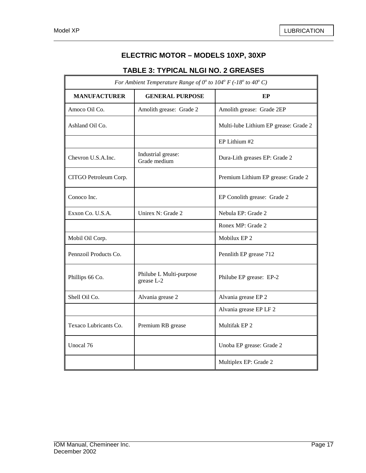7

# **ELECTRIC MOTOR – MODELS 10XP, 30XP**

# **TABLE 3: TYPICAL NLGI NO. 2 GREASES**

| For Ambient Temperature Range of $0^{\circ}$ to $104^{\circ}$ F (-18° to 40° C) |                                       |                                       |  |  |
|---------------------------------------------------------------------------------|---------------------------------------|---------------------------------------|--|--|
| <b>MANUFACTURER</b>                                                             | <b>GENERAL PURPOSE</b>                | EP                                    |  |  |
| Amoco Oil Co.                                                                   | Amolith grease: Grade 2               | Amolith grease: Grade 2EP             |  |  |
| Ashland Oil Co.                                                                 |                                       | Multi-lube Lithium EP grease: Grade 2 |  |  |
|                                                                                 |                                       | EP Lithium #2                         |  |  |
| Chevron U.S.A.Inc.                                                              | Industrial grease:<br>Grade medium    | Dura-Lith greases EP: Grade 2         |  |  |
| CITGO Petroleum Corp.                                                           |                                       | Premium Lithium EP grease: Grade 2    |  |  |
| Conoco Inc.                                                                     |                                       | EP Conolith grease: Grade 2           |  |  |
| Exxon Co. U.S.A.                                                                | Unirex N: Grade 2                     | Nebula EP: Grade 2                    |  |  |
|                                                                                 |                                       | Ronex MP: Grade 2                     |  |  |
| Mobil Oil Corp.                                                                 |                                       | Mobilux EP 2                          |  |  |
| Pennzoil Products Co.                                                           |                                       | Pennlith EP grease 712                |  |  |
| Phillips 66 Co.                                                                 | Philube L Multi-purpose<br>grease L-2 | Philube EP grease: EP-2               |  |  |
| Shell Oil Co.                                                                   | Alvania grease 2                      | Alvania grease EP 2                   |  |  |
|                                                                                 |                                       | Alvania grease EP LF 2                |  |  |
| Texaco Lubricants Co.                                                           | Premium RB grease                     | Multifak EP <sub>2</sub>              |  |  |
| Unocal 76                                                                       |                                       | Unoba EP grease: Grade 2              |  |  |
|                                                                                 |                                       | Multiplex EP: Grade 2                 |  |  |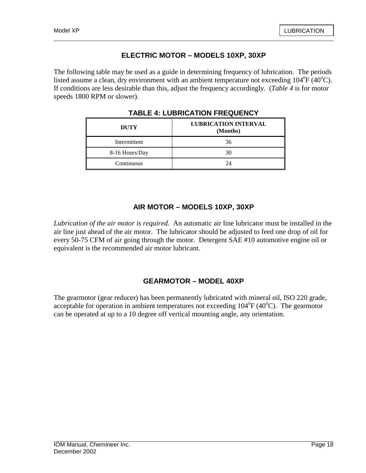# **ELECTRIC MOTOR – MODELS 10XP, 30XP**

The following table may be used as a guide in determining frequency of lubrication. The periods listed assume a clean, dry environment with an ambient temperature not exceeding  $104^{\circ}F(40^{\circ}C)$ . If conditions are less desirable than this, adjust the frequency accordingly. (*Table 4* is for motor speeds 1800 RPM or slower).

| <b>DUTY</b>    | <b>LUBRICATION INTERVAL</b><br>(Months) |
|----------------|-----------------------------------------|
| Intermittent   | 36                                      |
| 8-16 Hours/Day | 30                                      |
| Continuous     | 24                                      |

**TABLE 4: LUBRICATION FREQUENCY** 

## **AIR MOTOR – MODELS 10XP, 30XP**

*Lubrication of the air motor is required.* An automatic air line lubricator must be installed in the air line just ahead of the air motor. The lubricator should be adjusted to feed one drop of oil for every 50-75 CFM of air going through the motor. Detergent SAE #10 automotive engine oil or equivalent is the recommended air motor lubricant.

## **GEARMOTOR – MODEL 40XP**

The gearmotor (gear reducer) has been permanently lubricated with mineral oil, ISO 220 grade, acceptable for operation in ambient temperatures not exceeding  $104^{\circ}F(40^{\circ}C)$ . The gearmotor can be operated at up to a 10 degree off vertical mounting angle, any orientation.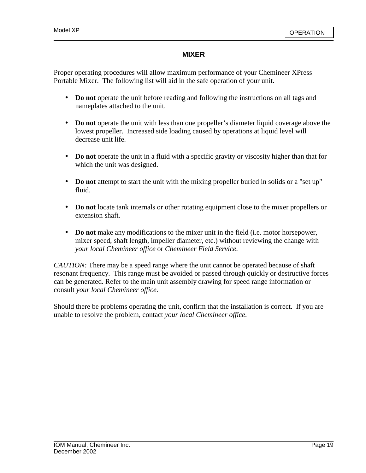## **MIXER**

Proper operating procedures will allow maximum performance of your Chemineer XPress Portable Mixer. The following list will aid in the safe operation of your unit.

- **Do not** operate the unit before reading and following the instructions on all tags and nameplates attached to the unit.
- **Do not** operate the unit with less than one propeller's diameter liquid coverage above the lowest propeller. Increased side loading caused by operations at liquid level will decrease unit life.
- **Do not** operate the unit in a fluid with a specific gravity or viscosity higher than that for which the unit was designed.
- **Do not** attempt to start the unit with the mixing propeller buried in solids or a "set up" fluid.
- **Do not** locate tank internals or other rotating equipment close to the mixer propellers or extension shaft.
- **Do not** make any modifications to the mixer unit in the field (i.e. motor horsepower, mixer speed, shaft length, impeller diameter, etc.) without reviewing the change with *your local Chemineer office* or *Chemineer Field Service*.

*CAUTION:* There may be a speed range where the unit cannot be operated because of shaft resonant frequency. This range must be avoided or passed through quickly or destructive forces can be generated. Refer to the main unit assembly drawing for speed range information or consult *your local Chemineer office*.

Should there be problems operating the unit, confirm that the installation is correct. If you are unable to resolve the problem, contact *your local Chemineer office*.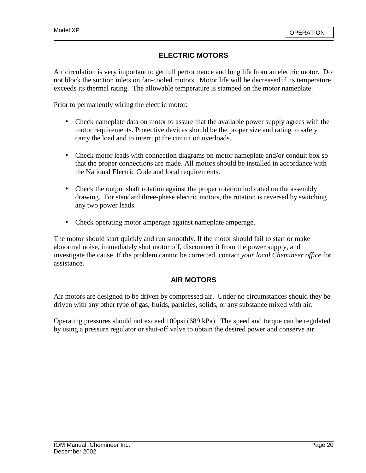# **ELECTRIC MOTORS**

Air circulation is very important to get full performance and long life from an electric motor. Do not block the suction inlets on fan-cooled motors. Motor life will be decreased if its temperature exceeds its thermal rating. The allowable temperature is stamped on the motor nameplate.

Prior to permanently wiring the electric motor:

- Check nameplate data on motor to assure that the available power supply agrees with the motor requirements. Protective devices should be the proper size and rating to safely carry the load and to interrupt the circuit on overloads.
- Check motor leads with connection diagrams on motor nameplate and/or conduit box so that the proper connections are made. All motors should be installed in accordance with the National Electric Code and local requirements.
- Check the output shaft rotation against the proper rotation indicated on the assembly drawing. For standard three-phase electric motors, the rotation is reversed by switching any two power leads.
- Check operating motor amperage against nameplate amperage.

The motor should start quickly and run smoothly. If the motor should fail to start or make abnormal noise, immediately shut motor off, disconnect it from the power supply, and investigate the cause. If the problem cannot be corrected, contact *your local Chemineer office* for assistance.

#### **AIR MOTORS**

Air motors are designed to be driven by compressed air. Under no circumstances should they be driven with any other type of gas, fluids, particles, solids, or any substance mixed with air.

Operating pressures should not exceed 100psi (689 kPa). The speed and torque can be regulated by using a pressure regulator or shut-off valve to obtain the desired power and conserve air.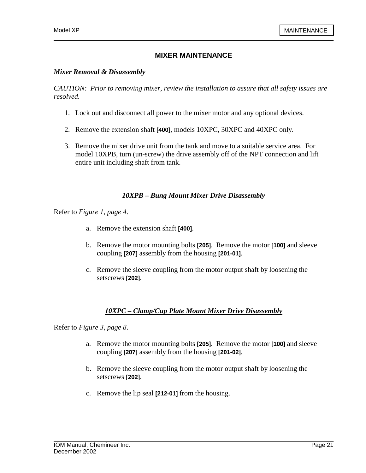#### *Mixer Removal & Disassembly*

*CAUTION: Prior to removing mixer, review the installation to assure that all safety issues are resolved.* 

- 1. Lock out and disconnect all power to the mixer motor and any optional devices.
- 2. Remove the extension shaft **[400]**, models 10XPC, 30XPC and 40XPC only.
- 3. Remove the mixer drive unit from the tank and move to a suitable service area. For model 10XPB, turn (un-screw) the drive assembly off of the NPT connection and lift entire unit including shaft from tank.

#### *10XPB – Bung Mount Mixer Drive Disassembly*

Refer to *Figure 1, page 4*.

- a. Remove the extension shaft **[400]**.
- b. Remove the motor mounting bolts **[205]**. Remove the motor **[100]** and sleeve coupling **[207]** assembly from the housing **[201-01]**.
- c. Remove the sleeve coupling from the motor output shaft by loosening the setscrews **[202]**.

#### *10XPC – Clamp/Cup Plate Mount Mixer Drive Disassembly*

Refer to *Figure 3, page 8*.

- a. Remove the motor mounting bolts **[205]**. Remove the motor **[100]** and sleeve coupling **[207]** assembly from the housing **[201-02]**.
- b. Remove the sleeve coupling from the motor output shaft by loosening the setscrews **[202]**.
- c. Remove the lip seal **[212-01]** from the housing.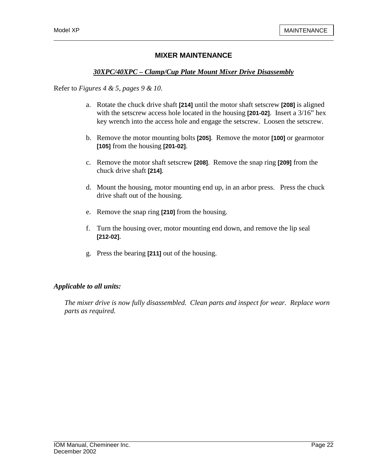#### *30XPC/40XPC – Clamp/Cup Plate Mount Mixer Drive Disassembly*

Refer to *Figures 4 & 5, pages 9 & 10*.

- a. Rotate the chuck drive shaft **[214]** until the motor shaft setscrew **[208]** is aligned with the setscrew access hole located in the housing **[201-02]**. Insert a 3/16" hex key wrench into the access hole and engage the setscrew. Loosen the setscrew.
- b. Remove the motor mounting bolts **[205]**. Remove the motor **[100]** or gearmotor **[105]** from the housing **[201-02]**.
- c. Remove the motor shaft setscrew **[208]**. Remove the snap ring **[209]** from the chuck drive shaft **[214]**.
- d. Mount the housing, motor mounting end up, in an arbor press. Press the chuck drive shaft out of the housing.
- e. Remove the snap ring **[210]** from the housing.
- f. Turn the housing over, motor mounting end down, and remove the lip seal **[212-02]**.
- g. Press the bearing **[211]** out of the housing.

#### *Applicable to all units:*

*The mixer drive is now fully disassembled. Clean parts and inspect for wear. Replace worn parts as required.*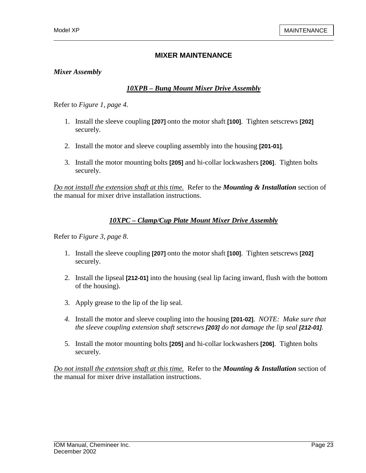#### *Mixer Assembly*

#### *10XPB – Bung Mount Mixer Drive Assembly*

Refer to *Figure 1, page 4*.

- 1. Install the sleeve coupling **[207]** onto the motor shaft **[100]**. Tighten setscrews **[202]** securely.
- 2. Install the motor and sleeve coupling assembly into the housing **[201-01]**.
- 3. Install the motor mounting bolts **[205]** and hi-collar lockwashers **[206]**. Tighten bolts securely.

*Do not install the extension shaft at this time.* Refer to the *Mounting & Installation* section of the manual for mixer drive installation instructions.

#### *10XPC – Clamp/Cup Plate Mount Mixer Drive Assembly*

Refer to *Figure 3, page 8*.

- 1. Install the sleeve coupling **[207]** onto the motor shaft **[100]**. Tighten setscrews **[202]** securely.
- 2. Install the lipseal **[212-01]** into the housing (seal lip facing inward, flush with the bottom of the housing).
- 3. Apply grease to the lip of the lip seal.
- *4.* Install the motor and sleeve coupling into the housing **[201-02]**. *NOTE: Make sure that the sleeve coupling extension shaft setscrews [203] do not damage the lip seal [212-01].*
- 5. Install the motor mounting bolts **[205]** and hi-collar lockwashers **[206]**. Tighten bolts securely.

*Do not install the extension shaft at this time.* Refer to the *Mounting & Installation* section of the manual for mixer drive installation instructions.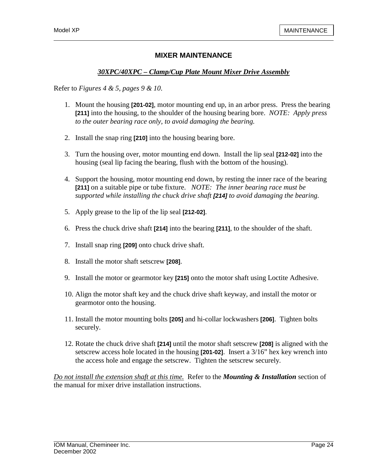#### *30XPC/40XPC – Clamp/Cup Plate Mount Mixer Drive Assembly*

Refer to *Figures 4 & 5, pages 9 & 10*.

- 1. Mount the housing **[201-02]**, motor mounting end up, in an arbor press. Press the bearing **[211]** into the housing, to the shoulder of the housing bearing bore. *NOTE: Apply press to the outer bearing race only, to avoid damaging the bearing.*
- 2. Install the snap ring **[210]** into the housing bearing bore.
- 3. Turn the housing over, motor mounting end down. Install the lip seal **[212-02]** into the housing (seal lip facing the bearing, flush with the bottom of the housing).
- 4. Support the housing, motor mounting end down, by resting the inner race of the bearing **[211]** on a suitable pipe or tube fixture. *NOTE: The inner bearing race must be supported while installing the chuck drive shaft [214] to avoid damaging the bearing.*
- 5. Apply grease to the lip of the lip seal **[212-02]**.
- 6. Press the chuck drive shaft **[214]** into the bearing **[211]**, to the shoulder of the shaft.
- 7. Install snap ring **[209]** onto chuck drive shaft.
- 8. Install the motor shaft setscrew **[208]**.
- 9. Install the motor or gearmotor key **[215]** onto the motor shaft using Loctite Adhesive.
- 10. Align the motor shaft key and the chuck drive shaft keyway, and install the motor or gearmotor onto the housing.
- 11. Install the motor mounting bolts **[205]** and hi-collar lockwashers **[206]**. Tighten bolts securely.
- 12. Rotate the chuck drive shaft **[214]** until the motor shaft setscrew **[208]** is aligned with the setscrew access hole located in the housing **[201-02]**. Insert a 3/16" hex key wrench into the access hole and engage the setscrew. Tighten the setscrew securely.

*Do not install the extension shaft at this time.* Refer to the *Mounting & Installation* section of the manual for mixer drive installation instructions.